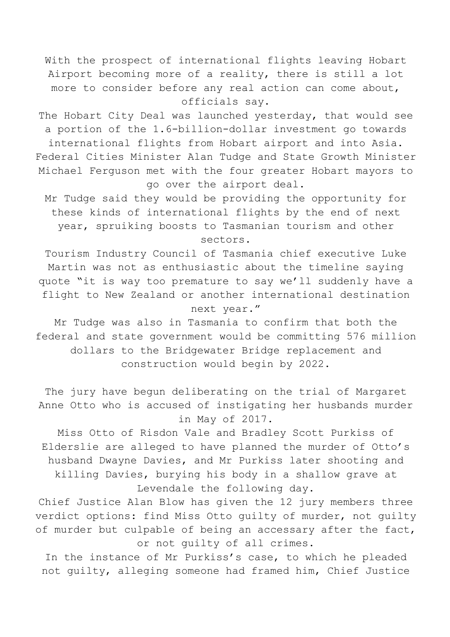With the prospect of international flights leaving Hobart Airport becoming more of a reality, there is still a lot more to consider before any real action can come about, officials say.

The Hobart City Deal was launched yesterday, that would see a portion of the 1.6-billion-dollar investment go towards international flights from Hobart airport and into Asia. Federal Cities Minister Alan Tudge and State Growth Minister Michael Ferguson met with the four greater Hobart mayors to go over the airport deal.

Mr Tudge said they would be providing the opportunity for these kinds of international flights by the end of next year, spruiking boosts to Tasmanian tourism and other sectors.

Tourism Industry Council of Tasmania chief executive Luke Martin was not as enthusiastic about the timeline saying quote "it is way too premature to say we'll suddenly have a flight to New Zealand or another international destination next year."

Mr Tudge was also in Tasmania to confirm that both the federal and state government would be committing 576 million dollars to the Bridgewater Bridge replacement and construction would begin by 2022.

The jury have begun deliberating on the trial of Margaret Anne Otto who is accused of instigating her husbands murder in May of 2017.

Miss Otto of Risdon Vale and Bradley Scott Purkiss of Elderslie are alleged to have planned the murder of Otto's husband Dwayne Davies, and Mr Purkiss later shooting and killing Davies, burying his body in a shallow grave at Levendale the following day.

Chief Justice Alan Blow has given the 12 jury members three verdict options: find Miss Otto guilty of murder, not guilty of murder but culpable of being an accessary after the fact, or not guilty of all crimes.

In the instance of Mr Purkiss's case, to which he pleaded not guilty, alleging someone had framed him, Chief Justice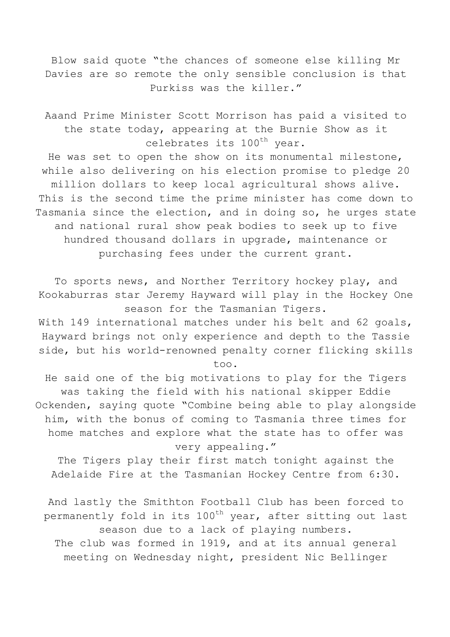Blow said quote "the chances of someone else killing Mr Davies are so remote the only sensible conclusion is that Purkiss was the killer."

Aaand Prime Minister Scott Morrison has paid a visited to the state today, appearing at the Burnie Show as it celebrates its 100<sup>th</sup> year.

He was set to open the show on its monumental milestone, while also delivering on his election promise to pledge 20 million dollars to keep local agricultural shows alive. This is the second time the prime minister has come down to Tasmania since the election, and in doing so, he urges state and national rural show peak bodies to seek up to five hundred thousand dollars in upgrade, maintenance or purchasing fees under the current grant.

To sports news, and Norther Territory hockey play, and Kookaburras star Jeremy Hayward will play in the Hockey One season for the Tasmanian Tigers.

With 149 international matches under his belt and 62 goals, Hayward brings not only experience and depth to the Tassie side, but his world-renowned penalty corner flicking skills too.

He said one of the big motivations to play for the Tigers was taking the field with his national skipper Eddie Ockenden, saying quote "Combine being able to play alongside him, with the bonus of coming to Tasmania three times for home matches and explore what the state has to offer was very appealing."

The Tigers play their first match tonight against the Adelaide Fire at the Tasmanian Hockey Centre from 6:30.

And lastly the Smithton Football Club has been forced to permanently fold in its 100<sup>th</sup> year, after sitting out last season due to a lack of playing numbers.

The club was formed in 1919, and at its annual general meeting on Wednesday night, president Nic Bellinger